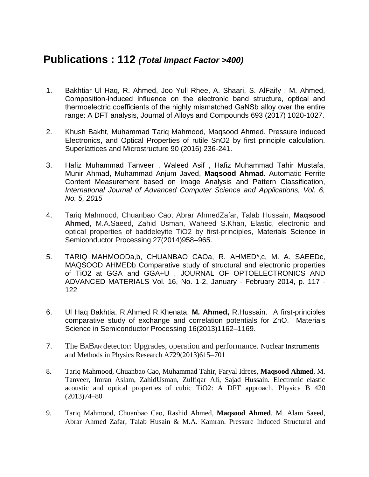## **Publications : 112** *(Total Impact Factor >400)*

- 1. Bakhtiar Ul Haq, R. Ahmed, Joo Yull Rhee, A. Shaari, S. AlFaify , M. Ahmed, Composition-induced influence on the electronic band structure, optical and thermoelectric coefficients of the highly mismatched GaNSb alloy over the entire range: A DFT analysis, Journal of Alloys and Compounds 693 (2017) 1020-1027.
- 2. Khush Bakht, Muhammad Tariq Mahmood, Maqsood Ahmed. Pressure induced Electronics, and Optical Properties of rutile SnO2 by first principle calculation. Superlattices and Microstructure 90 (2016) 236-241.
- 3. Hafiz Muhammad Tanveer , Waleed Asif , Hafiz Muhammad Tahir Mustafa, Munir Ahmad, Muhammad Anjum Javed, **Maqsood Ahmad**. Automatic Ferrite Content Measurement based on Image Analysis and Pattern Classification, *International Journal of Advanced Computer Science and Applications, Vol. 6, No. 5, 2015*
- 4. Tariq Mahmood, Chuanbao Cao, Abrar AhmedZafar, Talab Hussain, **Maqsood Ahmed**, M.A.Saeed, Zahid Usman, Waheed S.Khan, Elastic, electronic and optical properties of baddeleyite TiO2 by first-principles, Materials Science in Semiconductor Processing 27(2014)958–965.
- 5. TARIQ MAHMOODa,b, CHUANBAO CAOa, R. AHMED\*,c, M. A. SAEEDc, MAQSOOD AHMEDb Comparative study of structural and electronic properties of TiO2 at GGA and GGA+U , JOURNAL OF OPTOELECTRONICS AND ADVANCED MATERIALS Vol. 16, No. 1-2, January - February 2014, p. 117 - 122
- 6. Ul Haq Bakhtia, R.Ahmed R.Khenata, **M. Ahmed,** R.Hussain. A first-principles comparative study of exchange and correlation potentials for ZnO. Materials Science in Semiconductor Processing 16(2013)1162–1169.
- 7. The BABAR detector: Upgrades, operation and performance. Nuclear Instruments and Methods in Physics Research A729(2013)615–701
- 8. Tariq Mahmood, Chuanbao Cao, Muhammad Tahir, Faryal Idrees, **Maqsood Ahmed**, M. Tanveer, Imran Aslam, ZahidUsman, Zulfiqar Ali, Sajad Hussain. Electronic elastic acoustic and optical properties of cubic TiO2: A DFT approach. Physica B 420  $(2013)74 - 80$
- 9. Tariq Mahmood, Chuanbao Cao, Rashid Ahmed, **Maqsood Ahmed**, M. Alam Saeed, Abrar Ahmed Zafar, Talab Husain & M.A. Kamran. Pressure Induced Structural and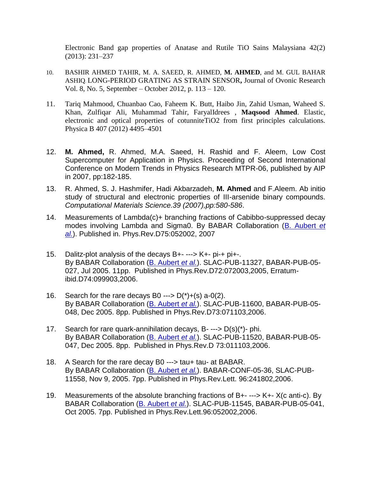Electronic Band gap properties of Anatase and Rutile TiO Sains Malaysiana 42(2) (2013): 231–237

- 10. BASHIR AHMED TAHIR, M. A. SAEED, R. AHMED, **M. AHMED**, and M. GUL BAHAR ASHIQ. LONG-PERIOD GRATING AS STRAIN SENSOR**,** Journal of Ovonic Research Vol. 8, No. 5, September – October 2012, p. 113 – 120.
- 11. Tariq Mahmood, Chuanbao Cao, Faheem K. Butt, Haibo Jin, Zahid Usman, Waheed S. Khan, Zulfiqar Ali, Muhammad Tahir, FaryalIdrees , **Maqsood Ahmed**. Elastic, electronic and optical properties of cotunniteTiO2 from first principles calculations. Physica B 407 (2012) 4495–4501
- 12. **M. Ahmed,** R. Ahmed, M.A. Saeed, H. Rashid and F. Aleem, Low Cost Supercomputer for Application in Physics. Proceeding of Second International Conference on Modern Trends in Physics Research MTPR-06, published by AIP in 2007, pp:182-185.
- 13. R. Ahmed, S. J. Hashmifer, Hadi Akbarzadeh, **M. Ahmed** and F.Aleem. Ab initio study of structural and electronic properties of III-arsenide binary compounds. *Computational Materials Science.39 (2007),pp:580-586*.
- 14. Measurements of Lambda(c)+ branching fractions of Cabibbo-suppressed decay modes involving Lambda and Sigma0. By BABAR Collaboration [\(B. Aubert](http://www-spires.fnal.gov/spires/find/hep/wwwauthors?key=6484921) *et [al.](http://www-spires.fnal.gov/spires/find/hep/wwwauthors?key=6484921)*). Published in. Phys.Rev.D75:052002, 2007
- 15. Dalitz-plot analysis of the decays B+- ---> K+- pi-+ pi+-. By BABAR Collaboration [\(B. Aubert](http://www-spires.fnal.gov/spires/find/hep/wwwauthors?key=6273173) *et al.*). SLAC-PUB-11327, BABAR-PUB-05- 027, Jul 2005. 11pp. Published in Phys.Rev.D72:072003,2005, Erratumibid.D74:099903,2006.
- 16. Search for the rare decays B0 --->  $D(*)+(s)$  a-0(2). By BABAR Collaboration [\(B. Aubert](http://www-spires.fnal.gov/spires/find/hep/wwwauthors?key=6454747) *et al.*). SLAC-PUB-11600, BABAR-PUB-05- 048, Dec 2005. 8pp. Published in Phys.Rev.D73:071103,2006.
- 17. Search for rare quark-annihilation decays,  $B$ --->  $D(s)(*)$  phi. By BABAR Collaboration [\(B. Aubert](http://www-spires.fnal.gov/spires/find/hep/wwwauthors?key=6454712) *et al.*). SLAC-PUB-11520, BABAR-PUB-05- 047, Dec 2005. 8pp. Published in Phys.Rev.D 73:011103,2006.
- 18. A Search for the rare decay B0 ---> tau+ tau- at BABAR. By BABAR Collaboration [\(B. Aubert](http://www-spires.fnal.gov/spires/find/hep/wwwauthors?key=6420214) *et al.*). BABAR-CONF-05-36, SLAC-PUB-11558, Nov 9, 2005. 7pp. Published in Phys.Rev.Lett. 96:241802,2006.
- 19. Measurements of the absolute branching fractions of B+- ---> K+- X(c anti-c). By BABAR Collaboration [\(B. Aubert](http://www-spires.fnal.gov/spires/find/hep/wwwauthors?key=6409776) *et al.*). SLAC-PUB-11545, BABAR-PUB-05-041, Oct 2005. 7pp. Published in Phys.Rev.Lett.96:052002,2006.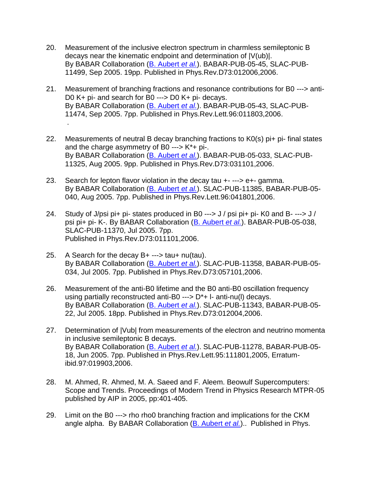- 20. Measurement of the inclusive electron spectrum in charmless semileptonic B decays near the kinematic endpoint and determination of |V(ub)|. By BABAR Collaboration [\(B. Aubert](http://www-spires.fnal.gov/spires/find/hep/wwwauthors?key=6373275) *et al.*). BABAR-PUB-05-45, SLAC-PUB-11499, Sep 2005. 19pp. Published in Phys.Rev.D73:012006,2006.
- 21. Measurement of branching fractions and resonance contributions for B0 ---> anti-D0 K+ pi- and search for B0 ---> D0 K+ pi- decays. By BABAR Collaboration [\(B. Aubert](http://www-spires.fnal.gov/spires/find/hep/wwwauthors?key=6370268) *et al.*). BABAR-PUB-05-43, SLAC-PUB-11474, Sep 2005. 7pp. Published in Phys.Rev.Lett.96:011803,2006. .
- 22. Measurements of neutral B decay branching fractions to K0(s) pi+ pi- final states and the charge asymmetry of B0 ---> K\*+ pi-. By BABAR Collaboration [\(B. Aubert](http://www-spires.fnal.gov/spires/find/hep/wwwauthors?key=6306268) *et al.*). BABAR-PUB-05-033, SLAC-PUB-11325, Aug 2005. 9pp. Published in Phys.Rev.D73:031101,2006.
- 23. Search for lepton flavor violation in the decay tau +- ---> e+- gamma. By BABAR Collaboration [\(B. Aubert](http://www-spires.fnal.gov/spires/find/hep/wwwauthors?key=6306250) *et al.*). SLAC-PUB-11385, BABAR-PUB-05- 040, Aug 2005. 7pp. Published in Phys.Rev.Lett.96:041801,2006.
- 24. Study of J/psi pi+ pi- states produced in B0 ---> J / psi pi+ pi- K0 and B- ---> J / psi pi+ pi- K-. By BABAR Collaboration [\(B. Aubert](http://www-spires.fnal.gov/spires/find/hep/wwwauthors?key=6289762) *et al.*). BABAR-PUB-05-038, SLAC-PUB-11370, Jul 2005. 7pp. Published in Phys.Rev.D73:011101,2006.
- 25. A Search for the decay B+ ---> tau+ nu(tau). By BABAR Collaboration [\(B. Aubert](http://www-spires.fnal.gov/spires/find/hep/wwwauthors?key=6285074) *et al.*). SLAC-PUB-11358, BABAR-PUB-05- 034, Jul 2005. 7pp. Published in Phys.Rev.D73:057101,2006.
- 26. Measurement of the anti-B0 lifetime and the B0 anti-B0 oscillation frequency using partially reconstructed anti-B0 ---> D\*+ l- anti-nu(l) decays. By BABAR Collaboration [\(B. Aubert](http://www-spires.fnal.gov/spires/find/hep/wwwauthors?key=6280862) *et al.*). SLAC-PUB-11343, BABAR-PUB-05- 22, Jul 2005. 18pp. Published in Phys.Rev.D73:012004,2006.
- 27. Determination of |Vub| from measurements of the electron and neutrino momenta in inclusive semileptonic B decays. By BABAR Collaboration [\(B. Aubert](http://www-spires.fnal.gov/spires/find/hep/wwwauthors?key=6251641) *et al.*). SLAC-PUB-11278, BABAR-PUB-05- 18, Jun 2005. 7pp. Published in Phys.Rev.Lett.95:111801,2005, Erratumibid.97:019903,2006.
- 28. M. Ahmed, R. Ahmed, M. A. Saeed and F. Aleem. Beowulf Supercomputers: Scope and Trends. Proceedings of Modern Trend in Physics Research MTPR-05 published by AIP in 2005, pp:401-405.
- 29. Limit on the B0 ---> rho rho0 branching fraction and implications for the CKM angle alpha. By BABAR Collaboration [\(B. Aubert](http://www-spires.fnal.gov/spires/find/hep/wwwauthors?key=6087388) *et al.*).. Published in Phys.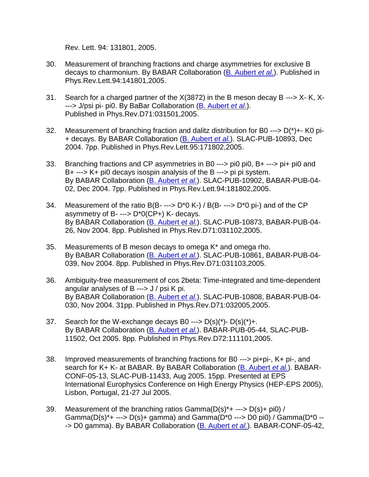Rev. Lett. 94: 131801, 2005.

- 30. Measurement of branching fractions and charge asymmetries for exclusive B decays to charmonium. By BABAR Collaboration [\(B. Aubert](http://www-spires.fnal.gov/spires/find/hep/wwwauthors?key=6086403) *et al.*). Published in Phys.Rev.Lett.94:141801,2005.
- 31. Search for a charged partner of the X(3872) in the B meson decay B ---> X- K, X- ---> J/psi pi- pi0. By BaBar Collaboration [\(B. Aubert](http://www-spires.fnal.gov/spires/find/hep/wwwauthors?key=6082483) *et al.*). Published in Phys.Rev.D71:031501,2005.
- 32. Measurement of branching fraction and dalitz distribution for B0 --->  $D(*)$ +- K0 pi-+ decays. By BABAR Collaboration [\(B. Aubert](http://www-spires.fnal.gov/spires/find/hep/wwwauthors?key=6076980) *et al.*). SLAC-PUB-10893, Dec 2004. 7pp. Published in Phys.Rev.Lett.95:171802,2005.
- 33. Branching fractions and CP asymmetries in B0 ---> pi0 pi0, B+ ---> pi+ pi0 and B+ ---> K+ pi0 decays isospin analysis of the B ---> pi pi system. By BABAR Collaboration [\(B. Aubert](http://www-spires.fnal.gov/spires/find/hep/wwwauthors?key=6076955) *et al.*). SLAC-PUB-10902, BABAR-PUB-04- 02, Dec 2004. 7pp. Published in Phys.Rev.Lett.94:181802,2005.
- 34. Measurement of the ratio  $B(B$ --->  $D^*0 K$ -) /  $B(B$ ---->  $D^*0$  pi-) and of the CP asymmetry of B- ---> D\*0(CP+) K- decays. By BABAR Collaboration [\(B. Aubert](http://www-spires.fnal.gov/spires/find/hep/wwwauthors?key=6061397) *et al.*). SLAC-PUB-10873, BABAR-PUB-04- 26, Nov 2004. 8pp. Published in Phys.Rev.D71:031102,2005.
- 35. Measurements of B meson decays to omega K\* and omega rho. By BABAR Collaboration [\(B. Aubert](http://www-spires.fnal.gov/spires/find/hep/wwwauthors?key=6052045) *et al.*). SLAC-PUB-10861, BABAR-PUB-04- 039, Nov 2004. 8pp. Published in Phys.Rev.D71:031103,2005.
- 36. Ambiguity-free measurement of cos 2beta: Time-integrated and time-dependent angular analyses of B ---> J / psi K pi. By BABAR Collaboration [\(B. Aubert](http://www-spires.fnal.gov/spires/find/hep/wwwauthors?key=6037100) *et al.*). SLAC-PUB-10808, BABAR-PUB-04- 030, Nov 2004. 31pp. Published in Phys.Rev.D71:032005,2005.
- 37. Search for the W-exchange decays B0 --->  $D(s)(*)$   $D(s)(*)$ +. By BABAR Collaboration [\(B. Aubert](http://www-spires.fnal.gov/spires/find/hep/wwwauthors?key=6401724) *et al.*). BABAR-PUB-05-44, SLAC-PUB-11502, Oct 2005. 8pp. Published in Phys.Rev.D72:111101,2005.
- 38. Improved measurements of branching fractions for B0 ---> pi+pi-, K+ pi-, and search for K+ K- at BABAR. By BABAR Collaboration [\(B. Aubert](http://www-spires.fnal.gov/spires/find/hep/wwwauthors?key=6333214) *et al.*). BABAR-CONF-05-13, SLAC-PUB-11433, Aug 2005. 15pp. Presented at EPS International Europhysics Conference on High Energy Physics (HEP-EPS 2005), Lisbon, Portugal, 21-27 Jul 2005.
- 39. Measurement of the branching ratios  $Gamma(D(s)^* + --- D(s) + \text{pi}(0)$  / Gamma( $D(s)*$  --->  $D(s)$ + gamma) and Gamma( $D*0$  --->  $D0$  pi0) / Gamma( $D*0$  ---> D0 gamma). By BABAR Collaboration [\(B. Aubert](http://www-spires.fnal.gov/spires/find/hep/wwwauthors?key=6332277) *et al.*). BABAR-CONF-05-42,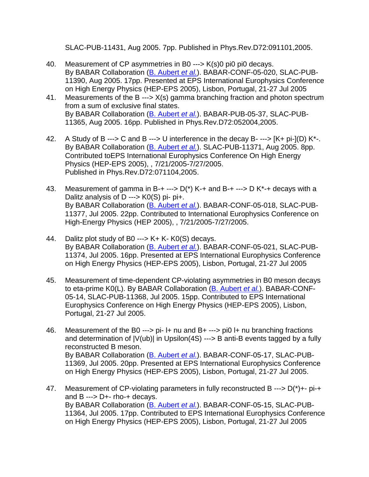SLAC-PUB-11431, Aug 2005. 7pp. Published in Phys.Rev.D72:091101,2005.

- 40. Measurement of CP asymmetries in B0 ---> K(s)0 pi0 pi0 decays. By BABAR Collaboration [\(B. Aubert](http://www-spires.fnal.gov/spires/find/hep/wwwauthors?key=6309160) *et al.*). BABAR-CONF-05-020, SLAC-PUB-11390, Aug 2005. 17pp. Presented at EPS International Europhysics Conference on High Energy Physics (HEP-EPS 2005), Lisbon, Portugal, 21-27 Jul 2005
- 41. Measurements of the B ---> X(s) gamma branching fraction and photon spectrum from a sum of exclusive final states. By BABAR Collaboration [\(B. Aubert](http://www-spires.fnal.gov/spires/find/hep/wwwauthors?key=6302114) *et al.*). BABAR-PUB-05-37, SLAC-PUB-11365, Aug 2005. 16pp. Published in Phys.Rev.D72:052004,2005.
- 42. A Study of B ---> C and B ---> U interference in the decay B- ---> [K+ pi-](D) K\*-. By BABAR Collaboration [\(B. Aubert](http://www-spires.fnal.gov/spires/find/hep/wwwauthors?key=6302084) *et al.*). SLAC-PUB-11371, Aug 2005. 8pp. Contributed toEPS International Europhysics Conference On High Energy Physics (HEP-EPS 2005), , 7/21/2005-7/27/2005. Published in Phys.Rev.D72:071104,2005.
- 43. Measurement of gamma in B-+ --->  $D(*)$  K-+ and B-+ ---> D K\*-+ decays with a Dalitz analysis of  $D \longrightarrow KO(S)$  pi- pi+. By BABAR Collaboration [\(B. Aubert](http://www-spires.fnal.gov/spires/find/hep/wwwauthors?key=6295304) *et al.*). BABAR-CONF-05-018, SLAC-PUB-11377, Jul 2005. 22pp. Contributed to International Europhysics Conference on High-Energy Physics (HEP 2005), , 7/21/2005-7/27/2005.
- 44. Dalitz plot study of B0 ---> K+ K- K0(S) decays. By BABAR Collaboration [\(B. Aubert](http://www-spires.fnal.gov/spires/find/hep/wwwauthors?key=6292364) *et al.*). BABAR-CONF-05-021, SLAC-PUB-11374, Jul 2005. 16pp. Presented at EPS International Europhysics Conference on High Energy Physics (HEP-EPS 2005), Lisbon, Portugal, 21-27 Jul 2005
- 45. Measurement of time-dependent CP-violating asymmetries in B0 meson decays to eta-prime K0(L). By BABAR Collaboration [\(B. Aubert](http://www-spires.fnal.gov/spires/find/hep/wwwauthors?key=6288936) *et al.*). BABAR-CONF-05-14, SLAC-PUB-11368, Jul 2005. 15pp. Contributed to EPS International Europhysics Conference on High Energy Physics (HEP-EPS 2005), Lisbon, Portugal, 21-27 Jul 2005.
- 46. Measurement of the B0 ---> pi- l+ nu and B+ ---> pi0 l+ nu branching fractions and determination of  $|V(ub)|$  in Upsilon(4S) ---> B anti-B events tagged by a fully reconstructed B meson. By BABAR Collaboration [\(B. Aubert](http://www-spires.fnal.gov/spires/find/hep/wwwauthors?key=6288022) *et al.*). BABAR-CONF-05-17, SLAC-PUB-11369, Jul 2005. 20pp. Presented at EPS International Europhysics Conference on High Energy Physics (HEP-EPS 2005), Lisbon, Portugal, 21-27 Jul 2005.
- 47. Measurement of CP-violating parameters in fully reconstructed B ---> D(\*)+- pi-+ and B ---> D+- rho-+ decays. By BABAR Collaboration [\(B. Aubert](http://www-spires.fnal.gov/spires/find/hep/wwwauthors?key=6286232) *et al.*). BABAR-CONF-05-15, SLAC-PUB-11364, Jul 2005. 17pp. Contributed to EPS International Europhysics Conference on High Energy Physics (HEP-EPS 2005), Lisbon, Portugal, 21-27 Jul 2005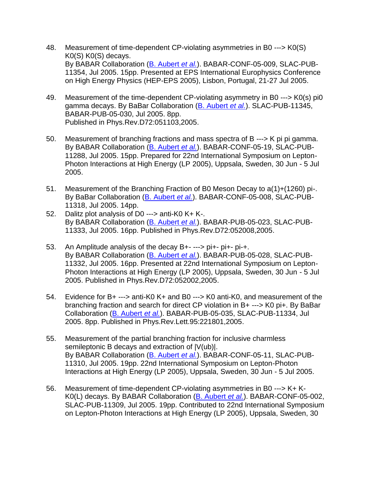- 48. Measurement of time-dependent CP-violating asymmetries in B0 ---> K0(S) K0(S) K0(S) decays. By BABAR Collaboration [\(B. Aubert](http://www-spires.fnal.gov/spires/find/hep/wwwauthors?key=6280846) *et al.*). BABAR-CONF-05-009, SLAC-PUB-11354, Jul 2005. 15pp. Presented at EPS International Europhysics Conference on High Energy Physics (HEP-EPS 2005), Lisbon, Portugal, 21-27 Jul 2005.
- 49. Measurement of the time-dependent CP-violating asymmetry in B0 ---> K0(s) pi0 gamma decays. By BaBar Collaboration [\(B. Aubert](http://www-spires.fnal.gov/spires/find/hep/wwwauthors?key=6278833) *et al.*). SLAC-PUB-11345, BABAR-PUB-05-030, Jul 2005. 8pp. Published in Phys.Rev.D72:051103,2005.
- 50. Measurement of branching fractions and mass spectra of B ---> K pi pi gamma. By BABAR Collaboration [\(B. Aubert](http://www-spires.fnal.gov/spires/find/hep/wwwauthors?key=6277799) *et al.*). BABAR-CONF-05-19, SLAC-PUB-11288, Jul 2005. 15pp. Prepared for 22nd International Symposium on Lepton-Photon Interactions at High Energy (LP 2005), Uppsala, Sweden, 30 Jun - 5 Jul 2005.
- 51. Measurement of the Branching Fraction of B0 Meson Decay to a(1)+(1260) pi-. By BaBar Collaboration [\(B. Aubert](http://www-spires.fnal.gov/spires/find/hep/wwwauthors?key=6277772) *et al.*). BABAR-CONF-05-008, SLAC-PUB-11318, Jul 2005. 14pp.
- 52. Dalitz plot analysis of D0 ---> anti-K0 K+ K-. By BABAR Collaboration [\(B. Aubert](http://www-spires.fnal.gov/spires/find/hep/wwwauthors?key=6276601) *et al.*). BABAR-PUB-05-023, SLAC-PUB-11333, Jul 2005. 16pp. Published in Phys.Rev.D72:052008,2005.
- 53. An Amplitude analysis of the decay B+- ---> pi+- pi+- pi-+. By BABAR Collaboration [\(B. Aubert](http://www-spires.fnal.gov/spires/find/hep/wwwauthors?key=6276598) *et al.*). BABAR-PUB-05-028, SLAC-PUB-11332, Jul 2005. 16pp. Presented at 22nd International Symposium on Lepton-Photon Interactions at High Energy (LP 2005), Uppsala, Sweden, 30 Jun - 5 Jul 2005. Published in Phys.Rev.D72:052002,2005.
- 54. Evidence for B+ ---> anti-K0 K+ and B0 ---> K0 anti-K0, and measurement of the branching fraction and search for direct CP violation in B+ ---> K0 pi+. By BaBar Collaboration [\(B. Aubert](http://www-spires.fnal.gov/spires/find/hep/wwwauthors?key=6276571) *et al.*). BABAR-PUB-05-035, SLAC-PUB-11334, Jul 2005. 8pp. Published in Phys.Rev.Lett.95:221801,2005.
- 55. Measurement of the partial branching fraction for inclusive charmless semileptonic B decays and extraction of |V(ub)|. By BABAR Collaboration [\(B. Aubert](http://www-spires.fnal.gov/spires/find/hep/wwwauthors?key=6274340) *et al.*). BABAR-CONF-05-11, SLAC-PUB-11310, Jul 2005. 19pp. 22nd International Symposium on Lepton-Photon Interactions at High Energy (LP 2005), Uppsala, Sweden, 30 Jun - 5 Jul 2005.
- 56. Measurement of time-dependent CP-violating asymmetries in B0 ---> K+ K-K0(L) decays. By BABAR Collaboration [\(B. Aubert](http://www-spires.fnal.gov/spires/find/hep/wwwauthors?key=6274331) *et al.*). BABAR-CONF-05-002, SLAC-PUB-11309, Jul 2005. 19pp. Contributed to 22nd International Symposium on Lepton-Photon Interactions at High Energy (LP 2005), Uppsala, Sweden, 30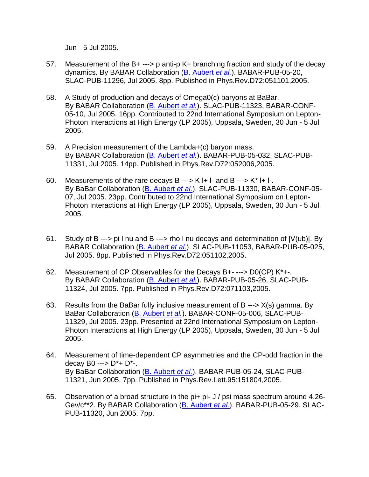Jun - 5 Jul 2005.

- 57. Measurement of the B+ ---> p anti-p K+ branching fraction and study of the decay dynamics. By BABAR Collaboration [\(B. Aubert](http://www-spires.fnal.gov/spires/find/hep/wwwauthors?key=6274293) *et al.*). BABAR-PUB-05-20, SLAC-PUB-11296, Jul 2005. 8pp. Published in Phys.Rev.D72:051101,2005.
- 58. A Study of production and decays of Omega0(c) baryons at BaBar. By BABAR Collaboration [\(B. Aubert](http://www-spires.fnal.gov/spires/find/hep/wwwauthors?key=6274285) *et al.*). SLAC-PUB-11323, BABAR-CONF-05-10, Jul 2005. 16pp. Contributed to 22nd International Symposium on Lepton-Photon Interactions at High Energy (LP 2005), Uppsala, Sweden, 30 Jun - 5 Jul 2005.
- 59. A Precision measurement of the Lambda+(c) baryon mass. By BABAR Collaboration [\(B. Aubert](http://www-spires.fnal.gov/spires/find/hep/wwwauthors?key=6274269) *et al.*). BABAR-PUB-05-032, SLAC-PUB-11331, Jul 2005. 14pp. Published in Phys.Rev.D72:052006,2005.
- 60. Measurements of the rare decays B ---> K I+ I- and B ---> K<sup>\*</sup> I+ I-. By BaBar Collaboration [\(B. Aubert](http://www-spires.fnal.gov/spires/find/hep/wwwauthors?key=6273181) *et al.*). SLAC-PUB-11330, BABAR-CONF-05- 07, Jul 2005. 23pp. Contributed to 22nd International Symposium on Lepton-Photon Interactions at High Energy (LP 2005), Uppsala, Sweden, 30 Jun - 5 Jul 2005.
- 61. Study of B ---> pi l nu and B ---> rho l nu decays and determination of |V(ub)|. By BABAR Collaboration [\(B. Aubert](http://www-spires.fnal.gov/spires/find/hep/wwwauthors?key=6273165) *et al.*). SLAC-PUB-11053, BABAR-PUB-05-025, Jul 2005. 8pp. Published in Phys.Rev.D72:051102,2005.
- 62. Measurement of CP Observables for the Decays B+- ---> D0(CP) K\*+-. By BABAR Collaboration [\(B. Aubert](http://www-spires.fnal.gov/spires/find/hep/wwwauthors?key=6273157) *et al.*). BABAR-PUB-05-26, SLAC-PUB-11324, Jul 2005. 7pp. Published in Phys.Rev.D72:071103,2005.
- 63. Results from the BaBar fully inclusive measurement of B ---> X(s) gamma. By BaBar Collaboration [\(B. Aubert](http://www-spires.fnal.gov/spires/find/hep/wwwauthors?key=6273149) *et al.*). BABAR-CONF-05-006, SLAC-PUB-11329, Jul 2005. 23pp. Presented at 22nd International Symposium on Lepton-Photon Interactions at High Energy (LP 2005), Uppsala, Sweden, 30 Jun - 5 Jul 2005.
- 64. Measurement of time-dependent CP asymmetries and the CP-odd fraction in the decay B0 ---> D\*+ D\*-. By BaBar Collaboration [\(B. Aubert](http://www-spires.fnal.gov/spires/find/hep/wwwauthors?key=6270611) *et al.*). BABAR-PUB-05-24, SLAC-PUB-11321, Jun 2005. 7pp. Published in Phys.Rev.Lett.95:151804,2005.
- 65. Observation of a broad structure in the pi+ pi- J / psi mass spectrum around 4.26- Gev/c\*\*2. By BABAR Collaboration [\(B. Aubert](http://www-spires.fnal.gov/spires/find/hep/wwwauthors?key=6270603) *et al.*). BABAR-PUB-05-29, SLAC-PUB-11320, Jun 2005. 7pp.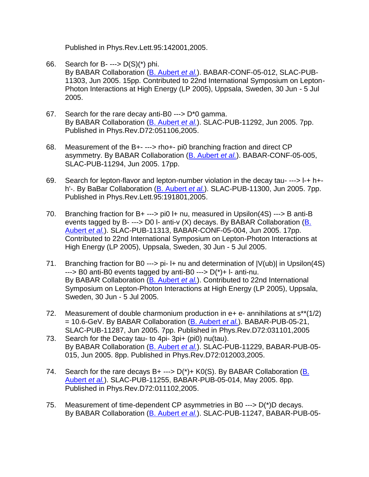Published in Phys.Rev.Lett.95:142001,2005.

- 66. Search for B- $\leftarrow$  D(S)(\*) phi. By BABAR Collaboration [\(B. Aubert](http://www-spires.fnal.gov/spires/find/hep/wwwauthors?key=6268366) *et al.*). BABAR-CONF-05-012, SLAC-PUB-11303, Jun 2005. 15pp. Contributed to 22nd International Symposium on Lepton-Photon Interactions at High Energy (LP 2005), Uppsala, Sweden, 30 Jun - 5 Jul 2005.
- 67. Search for the rare decay anti-B0 ---> D\*0 gamma. By BABAR Collaboration [\(B. Aubert](http://www-spires.fnal.gov/spires/find/hep/wwwauthors?key=6266983) *et al.*). SLAC-PUB-11292, Jun 2005. 7pp. Published in Phys.Rev.D72:051106,2005.
- 68. Measurement of the B+- ---> rho+- pi0 branching fraction and direct CP asymmetry. By BABAR Collaboration [\(B. Aubert](http://www-spires.fnal.gov/spires/find/hep/wwwauthors?key=6266975) *et al.*). BABAR-CONF-05-005, SLAC-PUB-11294, Jun 2005. 17pp.
- 69. Search for lepton-flavor and lepton-number violation in the decay tau- ---> l-+ h+ h'-. By BaBar Collaboration [\(B. Aubert](http://www-spires.fnal.gov/spires/find/hep/wwwauthors?key=6265340) *et al.*). SLAC-PUB-11300, Jun 2005. 7pp. Published in Phys.Rev.Lett.95:191801,2005.
- 70. Branching fraction for B+ ---> pi0 l+ nu, measured in Upsilon(4S) ---> B anti-B events tagged by B- $\rightarrow$  D0 I- anti-v (X) decays. By BABAR Collaboration (B. [Aubert](http://www-spires.fnal.gov/spires/find/hep/wwwauthors?key=6265332) *et al.*). SLAC-PUB-11313, BABAR-CONF-05-004, Jun 2005. 17pp. Contributed to 22nd International Symposium on Lepton-Photon Interactions at High Energy (LP 2005), Uppsala, Sweden, 30 Jun - 5 Jul 2005.
- 71. Branching fraction for B0 ---> pi-  $\mu$  nu and determination of  $|V(u_b)|$  in Upsilon(4S)  $\rightarrow$  B0 anti-B0 events tagged by anti-B0  $\rightarrow$  D(\*)+ I- anti-nu. By BABAR Collaboration [\(B. Aubert](http://www-spires.fnal.gov/spires/find/hep/wwwauthors?key=6265324) *et al.*). Contributed to 22nd International Symposium on Lepton-Photon Interactions at High Energy (LP 2005), Uppsala, Sweden, 30 Jun - 5 Jul 2005.
- 72. Measurement of double charmonium production in  $e$ +  $e$  annihilations at  $s^{**}(1/2)$ = 10.6-GeV. By BABAR Collaboration [\(B. Aubert](http://www-spires.fnal.gov/spires/find/hep/wwwauthors?key=6265308) *et al.*). BABAR-PUB-05-21, SLAC-PUB-11287, Jun 2005. 7pp. Published in Phys.Rev.D72:031101,2005
- 73. Search for the Decay tau- to 4pi- 3pi+ (pi0) nu(tau). By BABAR Collaboration [\(B. Aubert](http://www-spires.fnal.gov/spires/find/hep/wwwauthors?key=6241182) *et al.*). SLAC-PUB-11229, BABAR-PUB-05- 015, Jun 2005. 8pp. Published in Phys.Rev.D72:012003,2005.
- 74. Search for the rare decays  $B$ + --->  $D(*)$ + K0(S). By BABAR Collaboration (B. [Aubert](http://www-spires.fnal.gov/spires/find/hep/wwwauthors?key=6235930) *et al.*). SLAC-PUB-11255, BABAR-PUB-05-014, May 2005. 8pp. Published in Phys.Rev.D72:011102,2005.
- 75. Measurement of time-dependent CP asymmetries in B0 ---> D(\*)D decays. By BABAR Collaboration [\(B. Aubert](http://www-spires.fnal.gov/spires/find/hep/wwwauthors?key=6234178) *et al.*). SLAC-PUB-11247, BABAR-PUB-05-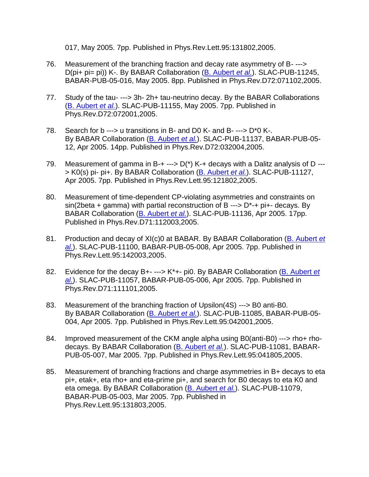017, May 2005. 7pp. Published in Phys.Rev.Lett.95:131802,2005.

- 76. Measurement of the branching fraction and decay rate asymmetry of B- ---> D(pi+ pi= pi)) K-. By BABAR Collaboration [\(B. Aubert](http://www-spires.fnal.gov/spires/find/hep/wwwauthors?key=6234097) *et al.*). SLAC-PUB-11245, BABAR-PUB-05-016, May 2005. 8pp. Published in Phys.Rev.D72:071102,2005.
- 77. Study of the tau- ---> 3h- 2h+ tau-neutrino decay. By the BABAR Collaborations [\(B. Aubert](http://www-spires.fnal.gov/spires/find/hep/wwwauthors?key=6214096) *et al.*). SLAC-PUB-11155, May 2005. 7pp. Published in Phys.Rev.D72:072001,2005.
- 78. Search for b ---> u transitions in B- and D0 K- and B- --->  $D^*0$  K-. By BABAR Collaboration [\(B. Aubert](http://www-spires.fnal.gov/spires/find/hep/wwwauthors?key=6206743) *et al.*). SLAC-PUB-11137, BABAR-PUB-05- 12, Apr 2005. 14pp. Published in Phys.Rev.D72:032004,2005.
- 79. Measurement of gamma in B-+ --->  $D(*)$  K-+ decays with a Dalitz analysis of D ---> K0(s) pi- pi+. By BABAR Collaboration [\(B. Aubert](http://www-spires.fnal.gov/spires/find/hep/wwwauthors?key=6199925) *et al.*). SLAC-PUB-11127, Apr 2005. 7pp. Published in Phys.Rev.Lett.95:121802,2005.
- 80. Measurement of time-dependent CP-violating asymmetries and constraints on  $sin(2beta + gamma)$  with partial reconstruction of B --->  $D^*$ -+ pi+- decays. By BABAR Collaboration [\(B. Aubert](http://www-spires.fnal.gov/spires/find/hep/wwwauthors?key=6197345) *et al.*). SLAC-PUB-11136, Apr 2005. 17pp. Published in Phys.Rev.D71:112003,2005.
- 81. Production and decay of XI(c)0 at BABAR. By BABAR Collaboration [\(B. Aubert](http://www-spires.fnal.gov/spires/find/hep/wwwauthors?key=6181155) *et [al.](http://www-spires.fnal.gov/spires/find/hep/wwwauthors?key=6181155)*). SLAC-PUB-11100, BABAR-PUB-05-008, Apr 2005. 7pp. Published in Phys.Rev.Lett.95:142003,2005.
- 82. Evidence for the decay B+- ---> K\*+- pi0. By BABAR Collaboration [\(B. Aubert](http://www-spires.fnal.gov/spires/find/hep/wwwauthors?key=6181104) *et [al.](http://www-spires.fnal.gov/spires/find/hep/wwwauthors?key=6181104)*). SLAC-PUB-11057, BABAR-PUB-05-006, Apr 2005. 7pp. Published in Phys.Rev.D71:111101,2005.
- 83. Measurement of the branching fraction of Upsilon(4S) ---> B0 anti-B0. By BABAR Collaboration [\(B. Aubert](http://www-spires.fnal.gov/spires/find/hep/wwwauthors?key=6175112) *et al.*). SLAC-PUB-11085, BABAR-PUB-05- 004, Apr 2005. 7pp. Published in Phys.Rev.Lett.95:042001,2005.
- 84. Improved measurement of the CKM angle alpha using B0(anti-B0) ---> rho+ rhodecays. By BABAR Collaboration [\(B. Aubert](http://www-spires.fnal.gov/spires/find/hep/wwwauthors?key=6171940) *et al.*). SLAC-PUB-11081, BABAR-PUB-05-007, Mar 2005. 7pp. Published in Phys.Rev.Lett.95:041805,2005.
- 85. Measurement of branching fractions and charge asymmetries in B+ decays to eta pi+, etak+, eta rho+ and eta-prime pi+, and search for B0 decays to eta K0 and eta omega. By BABAR Collaboration [\(B. Aubert](http://www-spires.fnal.gov/spires/find/hep/wwwauthors?key=6163599) *et al.*). SLAC-PUB-11079, BABAR-PUB-05-003, Mar 2005. 7pp. Published in Phys.Rev.Lett.95:131803,2005.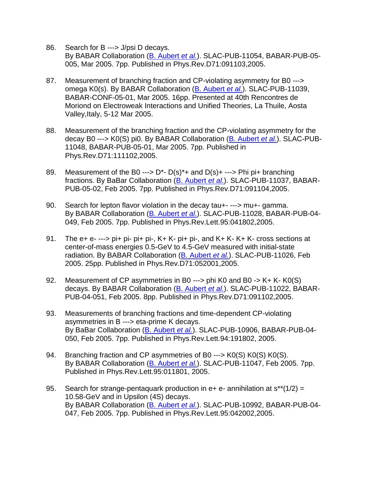- 86. Search for B ---> J/psi D decays. By BABAR Collaboration [\(B. Aubert](http://www-spires.fnal.gov/spires/find/hep/wwwauthors?key=6150160) *et al.*). SLAC-PUB-11054, BABAR-PUB-05- 005, Mar 2005. 7pp. Published in Phys.Rev.D71:091103,2005.
- 87. Measurement of branching fraction and CP-violating asymmetry for B0 ---> omega K0(s). By BABAR Collaboration [\(B. Aubert](http://www-spires.fnal.gov/spires/find/hep/wwwauthors?key=6149537) *et al.*). SLAC-PUB-11039, BABAR-CONF-05-01, Mar 2005. 16pp. Presented at 40th Rencontres de Moriond on Electroweak Interactions and Unified Theories, La Thuile, Aosta Valley,Italy, 5-12 Mar 2005.
- 88. Measurement of the branching fraction and the CP-violating asymmetry for the decay B0 ---> K0(S) pi0. By BABAR Collaboration [\(B. Aubert](http://www-spires.fnal.gov/spires/find/hep/wwwauthors?key=6145868) *et al.*). SLAC-PUB-11048, BABAR-PUB-05-01, Mar 2005. 7pp. Published in Phys.Rev.D71:111102,2005.
- 89. Measurement of the B0 --->  $D^*$   $D(s)^*$ + and  $D(s)$ + ---> Phi pi+ branching fractions. By BaBar Collaboration [\(B. Aubert](http://www-spires.fnal.gov/spires/find/hep/wwwauthors?key=6139639) *et al.*). SLAC-PUB-11037, BABAR-PUB-05-02, Feb 2005. 7pp. Published in Phys.Rev.D71:091104,2005.
- 90. Search for lepton flavor violation in the decay tau+- ---> mu+- gamma. By BABAR Collaboration [\(B. Aubert](http://www-spires.fnal.gov/spires/find/hep/wwwauthors?key=6133975) *et al.*). SLAC-PUB-11028, BABAR-PUB-04- 049, Feb 2005. 7pp. Published in Phys.Rev.Lett.95:041802,2005.
- 91. The  $e_{+}$   $e_{-}$   $\rightarrow$   $p$   $\rightarrow$   $p$   $\rightarrow$   $p$   $\rightarrow$   $p$   $\rightarrow$   $k$   $\rightarrow$   $p$   $\rightarrow$   $p$   $\rightarrow$   $p$   $\rightarrow$   $p$   $\rightarrow$   $k$   $\rightarrow$   $k$   $\rightarrow$   $k$   $\rightarrow$   $k$   $\rightarrow$   $k$   $\rightarrow$   $k$   $\rightarrow$   $k$   $\rightarrow$   $k$   $\rightarrow$   $k$   $\rightarrow$   $k$   $\rightarrow$   $k$   $\rightarrow$   $k$   $\rightarrow$   $k$  center-of-mass energies 0.5-GeV to 4.5-GeV measured with initial-state radiation. By BABAR Collaboration [\(B. Aubert](http://www-spires.fnal.gov/spires/find/hep/wwwauthors?key=6129676) *et al.*). SLAC-PUB-11026, Feb 2005. 25pp. Published in Phys.Rev.D71:052001,2005.
- 92. Measurement of CP asymmetries in B0 ---> phi K0 and B0 -> K+ K- K0(S) decays. By BABAR Collaboration [\(B. Aubert](http://www-spires.fnal.gov/spires/find/hep/wwwauthors?key=6125050) *et al.*). SLAC-PUB-11022, BABAR-PUB-04-051, Feb 2005. 8pp. Published in Phys.Rev.D71:091102,2005.
- 93. Measurements of branching fractions and time-dependent CP-violating asymmetries in B ---> eta-prime K decays. By BaBar Collaboration [\(B. Aubert](http://www-spires.fnal.gov/spires/find/hep/wwwauthors?key=6125034) *et al.*). SLAC-PUB-10906, BABAR-PUB-04- 050, Feb 2005. 7pp. Published in Phys.Rev.Lett.94:191802, 2005.
- 94. Branching fraction and CP asymmetries of B0 ---> K0(S) K0(S) K0(S). By BABAR Collaboration [\(B. Aubert](http://www-spires.fnal.gov/spires/find/hep/wwwauthors?key=6123830) *et al.*). SLAC-PUB-11047, Feb 2005. 7pp. Published in Phys.Rev.Lett.95:011801, 2005.
- 95. Search for strange-pentaquark production in  $e_{+}$  e- annihilation at  $s^{**}(1/2)$  = 10.58-GeV and in Upsilon (4S) decays. By BABAR Collaboration [\(B. Aubert](http://www-spires.fnal.gov/spires/find/hep/wwwauthors?key=6120571) *et al.*). SLAC-PUB-10992, BABAR-PUB-04- 047, Feb 2005. 7pp. Published in Phys.Rev.Lett.95:042002,2005.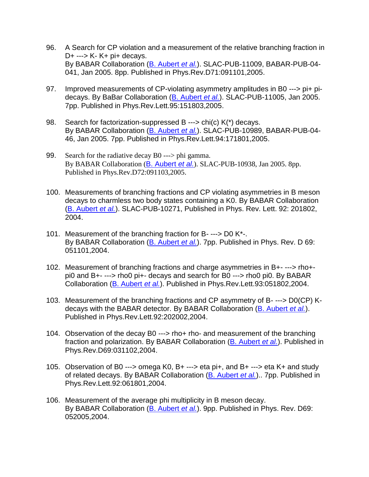- 96. A Search for CP violation and a measurement of the relative branching fraction in D+ ---> K- K+ pi+ decays. By BABAR Collaboration [\(B. Aubert](http://www-spires.fnal.gov/spires/find/hep/wwwauthors?key=6118666) *et al.*). SLAC-PUB-11009, BABAR-PUB-04- 041, Jan 2005. 8pp. Published in Phys.Rev.D71:091101,2005.
- 97. Improved measurements of CP-violating asymmetry amplitudes in B0 ---> pi+ pidecays. By BaBar Collaboration [\(B. Aubert](http://www-spires.fnal.gov/spires/find/hep/wwwauthors?key=6117325) *et al.*). SLAC-PUB-11005, Jan 2005. 7pp. Published in Phys.Rev.Lett.95:151803,2005.
- 98. Search for factorization-suppressed B ---> chi(c)  $K<sup>*</sup>$  decays. By BABAR Collaboration [\(B. Aubert](http://www-spires.fnal.gov/spires/find/hep/wwwauthors?key=6110371) *et al.*). SLAC-PUB-10989, BABAR-PUB-04- 46, Jan 2005. 7pp. Published in Phys.Rev.Lett.94:171801,2005.
- 99. Search for the radiative decay B0 ---> phi gamma. By BABAR Collaboration ([B. Aubert](http://www-spires.fnal.gov/spires/find/hep/wwwauthors?key=6103235) *et al.*). SLAC-PUB-10938, Jan 2005. 8pp. Published in Phys.Rev.D72:091103,2005.
- 100. Measurements of branching fractions and CP violating asymmetries in B meson decays to charmless two body states containing a K0. By BABAR Collaboration [\(B. Aubert](http://www-spires.fnal.gov/spires/find/hep/wwwauthors?key=5758157) *et al.*). SLAC-PUB-10271, Published in Phys. Rev. Lett. 92: 201802, 2004.
- 101. Measurement of the branching fraction for B- ---> D0 K\*-. By BABAR Collaboration [\(B. Aubert](http://www-spires.fnal.gov/spires/find/hep/wwwauthors?key=5754895) *et al.*). 7pp. Published in Phys. Rev. D 69: 051101,2004.
- 102. Measurement of branching fractions and charge asymmetries in B+- ---> rho+ pi0 and B+- ---> rho0 pi+- decays and search for B0 ---> rho0 pi0. By BABAR Collaboration [\(B. Aubert](http://www-spires.fnal.gov/spires/find/hep/wwwauthors?key=5732522) *et al.*). Published in Phys.Rev.Lett.93:051802,2004.
- 103. Measurement of the branching fractions and CP asymmetry of B- ---> D0(CP) Kdecays with the BABAR detector. By BABAR Collaboration [\(B. Aubert](http://www-spires.fnal.gov/spires/find/hep/wwwauthors?key=5724236) *et al.*). Published in Phys.Rev.Lett.92:202002,2004.
- 104. Observation of the decay B0 ---> rho+ rho- and measurement of the branching fraction and polarization. By BABAR Collaboration [\(B. Aubert](http://www-spires.fnal.gov/spires/find/hep/wwwauthors?key=5718996) *et al.*). Published in Phys.Rev.D69:031102,2004.
- 105. Observation of B0 ---> omega K0, B+ ---> eta pi+, and B+ ---> eta K+ and study of related decays. By BABAR Collaboration [\(B. Aubert](http://www-spires.fnal.gov/spires/find/hep/wwwauthors?key=5718988) *et al.*).. 7pp. Published in Phys.Rev.Lett.92:061801,2004.
- 106. Measurement of the average phi multiplicity in B meson decay. By BABAR Collaboration [\(B. Aubert](http://www-spires.fnal.gov/spires/find/hep/wwwauthors?key=5715156) *et al.*). 9pp. Published in Phys. Rev. D69: 052005,2004.